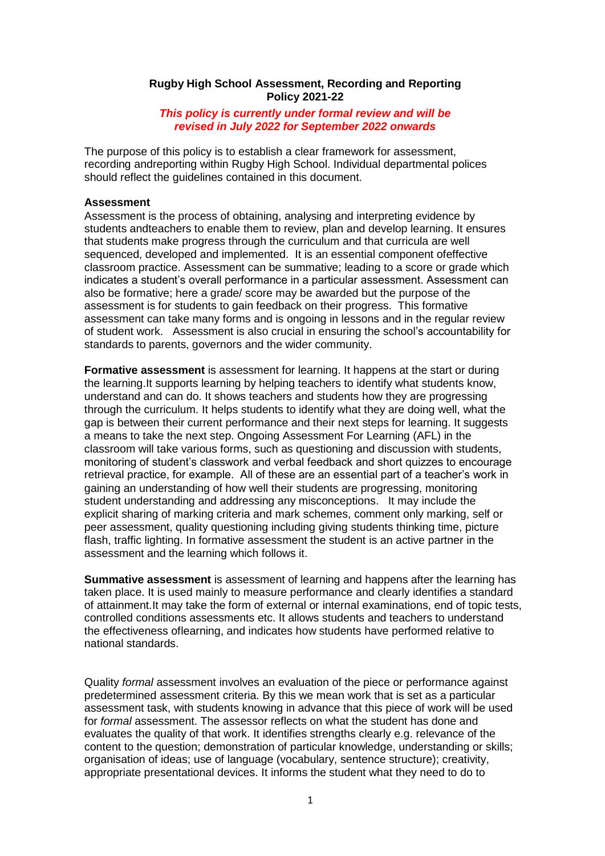### **Rugby High School Assessment, Recording and Reporting Policy 2021-22**

*This policy is currently under formal review and will be revised in July 2022 for September 2022 onwards*

The purpose of this policy is to establish a clear framework for assessment, recording andreporting within Rugby High School. Individual departmental polices should reflect the guidelines contained in this document.

#### **Assessment**

Assessment is the process of obtaining, analysing and interpreting evidence by students andteachers to enable them to review, plan and develop learning. It ensures that students make progress through the curriculum and that curricula are well sequenced, developed and implemented. It is an essential component ofeffective classroom practice. Assessment can be summative; leading to a score or grade which indicates a student's overall performance in a particular assessment. Assessment can also be formative; here a grade/ score may be awarded but the purpose of the assessment is for students to gain feedback on their progress. This formative assessment can take many forms and is ongoing in lessons and in the regular review of student work. Assessment is also crucial in ensuring the school's accountability for standards to parents, governors and the wider community.

**Formative assessment** is assessment for learning. It happens at the start or during the learning.It supports learning by helping teachers to identify what students know, understand and can do. It shows teachers and students how they are progressing through the curriculum. It helps students to identify what they are doing well, what the gap is between their current performance and their next steps for learning. It suggests a means to take the next step. Ongoing Assessment For Learning (AFL) in the classroom will take various forms, such as questioning and discussion with students, monitoring of student's classwork and verbal feedback and short quizzes to encourage retrieval practice, for example. All of these are an essential part of a teacher's work in gaining an understanding of how well their students are progressing, monitoring student understanding and addressing any misconceptions. It may include the explicit sharing of marking criteria and mark schemes, comment only marking, self or peer assessment, quality questioning including giving students thinking time, picture flash, traffic lighting. In formative assessment the student is an active partner in the assessment and the learning which follows it.

**Summative assessment** is assessment of learning and happens after the learning has taken place. It is used mainly to measure performance and clearly identifies a standard of attainment.It may take the form of external or internal examinations, end of topic tests, controlled conditions assessments etc. It allows students and teachers to understand the effectiveness oflearning, and indicates how students have performed relative to national standards.

Quality *formal* assessment involves an evaluation of the piece or performance against predetermined assessment criteria. By this we mean work that is set as a particular assessment task, with students knowing in advance that this piece of work will be used for *formal* assessment. The assessor reflects on what the student has done and evaluates the quality of that work. It identifies strengths clearly e.g. relevance of the content to the question; demonstration of particular knowledge, understanding or skills; organisation of ideas; use of language (vocabulary, sentence structure); creativity, appropriate presentational devices. It informs the student what they need to do to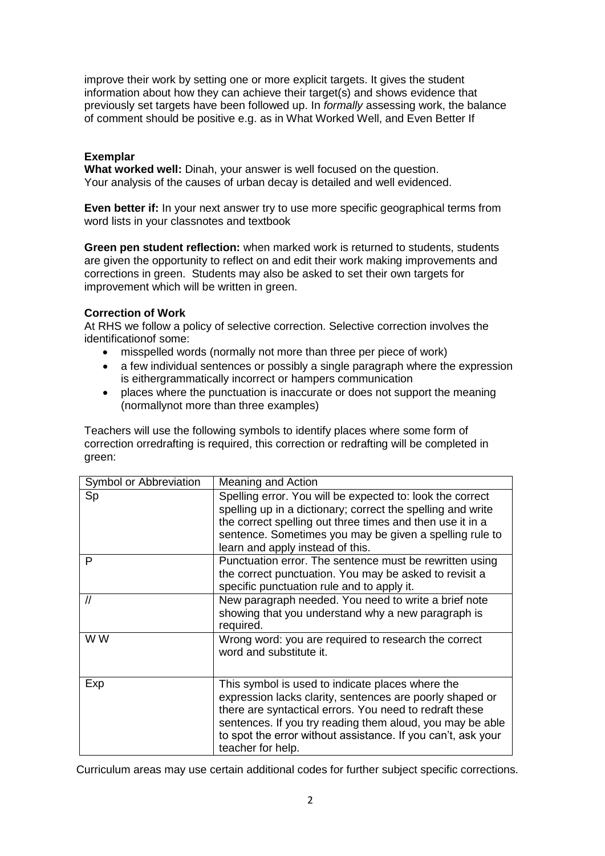improve their work by setting one or more explicit targets. It gives the student information about how they can achieve their target(s) and shows evidence that previously set targets have been followed up. In *formally* assessing work, the balance of comment should be positive e.g. as in What Worked Well, and Even Better If

# **Exemplar**

**What worked well:** Dinah, your answer is well focused on the question. Your analysis of the causes of urban decay is detailed and well evidenced.

**Even better if:** In your next answer try to use more specific geographical terms from word lists in your classnotes and textbook

**Green pen student reflection:** when marked work is returned to students, students are given the opportunity to reflect on and edit their work making improvements and corrections in green. Students may also be asked to set their own targets for improvement which will be written in green.

# **Correction of Work**

At RHS we follow a policy of selective correction. Selective correction involves the identificationof some:

- misspelled words (normally not more than three per piece of work)
- a few individual sentences or possibly a single paragraph where the expression is eithergrammatically incorrect or hampers communication
- places where the punctuation is inaccurate or does not support the meaning (normallynot more than three examples)

Teachers will use the following symbols to identify places where some form of correction orredrafting is required, this correction or redrafting will be completed in green:

| Symbol or Abbreviation | Meaning and Action                                                                                                                                                                                                                                                                                                        |
|------------------------|---------------------------------------------------------------------------------------------------------------------------------------------------------------------------------------------------------------------------------------------------------------------------------------------------------------------------|
| Sp                     | Spelling error. You will be expected to: look the correct<br>spelling up in a dictionary; correct the spelling and write<br>the correct spelling out three times and then use it in a<br>sentence. Sometimes you may be given a spelling rule to<br>learn and apply instead of this.                                      |
| P                      | Punctuation error. The sentence must be rewritten using<br>the correct punctuation. You may be asked to revisit a<br>specific punctuation rule and to apply it.                                                                                                                                                           |
| $^{\prime\prime}$      | New paragraph needed. You need to write a brief note<br>showing that you understand why a new paragraph is<br>required.                                                                                                                                                                                                   |
| W W                    | Wrong word: you are required to research the correct<br>word and substitute it.                                                                                                                                                                                                                                           |
| Exp                    | This symbol is used to indicate places where the<br>expression lacks clarity, sentences are poorly shaped or<br>there are syntactical errors. You need to redraft these<br>sentences. If you try reading them aloud, you may be able<br>to spot the error without assistance. If you can't, ask your<br>teacher for help. |

Curriculum areas may use certain additional codes for further subject specific corrections.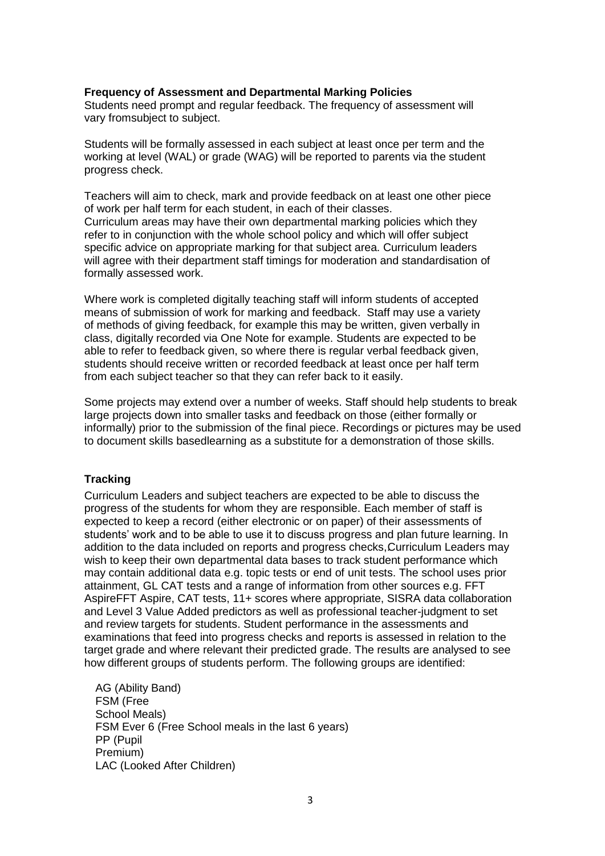#### **Frequency of Assessment and Departmental Marking Policies**

Students need prompt and regular feedback. The frequency of assessment will vary fromsubject to subject.

Students will be formally assessed in each subject at least once per term and the working at level (WAL) or grade (WAG) will be reported to parents via the student progress check.

Teachers will aim to check, mark and provide feedback on at least one other piece of work per half term for each student, in each of their classes. Curriculum areas may have their own departmental marking policies which they refer to in conjunction with the whole school policy and which will offer subject specific advice on appropriate marking for that subject area. Curriculum leaders will agree with their department staff timings for moderation and standardisation of formally assessed work.

Where work is completed digitally teaching staff will inform students of accepted means of submission of work for marking and feedback. Staff may use a variety of methods of giving feedback, for example this may be written, given verbally in class, digitally recorded via One Note for example. Students are expected to be able to refer to feedback given, so where there is regular verbal feedback given, students should receive written or recorded feedback at least once per half term from each subject teacher so that they can refer back to it easily.

Some projects may extend over a number of weeks. Staff should help students to break large projects down into smaller tasks and feedback on those (either formally or informally) prior to the submission of the final piece. Recordings or pictures may be used to document skills basedlearning as a substitute for a demonstration of those skills.

#### **Tracking**

Curriculum Leaders and subject teachers are expected to be able to discuss the progress of the students for whom they are responsible. Each member of staff is expected to keep a record (either electronic or on paper) of their assessments of students' work and to be able to use it to discuss progress and plan future learning. In addition to the data included on reports and progress checks, Curriculum Leaders may wish to keep their own departmental data bases to track student performance which may contain additional data e.g. topic tests or end of unit tests. The school uses prior attainment, GL CAT tests and a range of information from other sources e.g. FFT AspireFFT Aspire, CAT tests, 11+ scores where appropriate, SISRA data collaboration and Level 3 Value Added predictors as well as professional teacher-judgment to set and review targets for students. Student performance in the assessments and examinations that feed into progress checks and reports is assessed in relation to the target grade and where relevant their predicted grade. The results are analysed to see how different groups of students perform. The following groups are identified:

AG (Ability Band) FSM (Free School Meals) FSM Ever 6 (Free School meals in the last 6 years) PP (Pupil Premium) LAC (Looked After Children)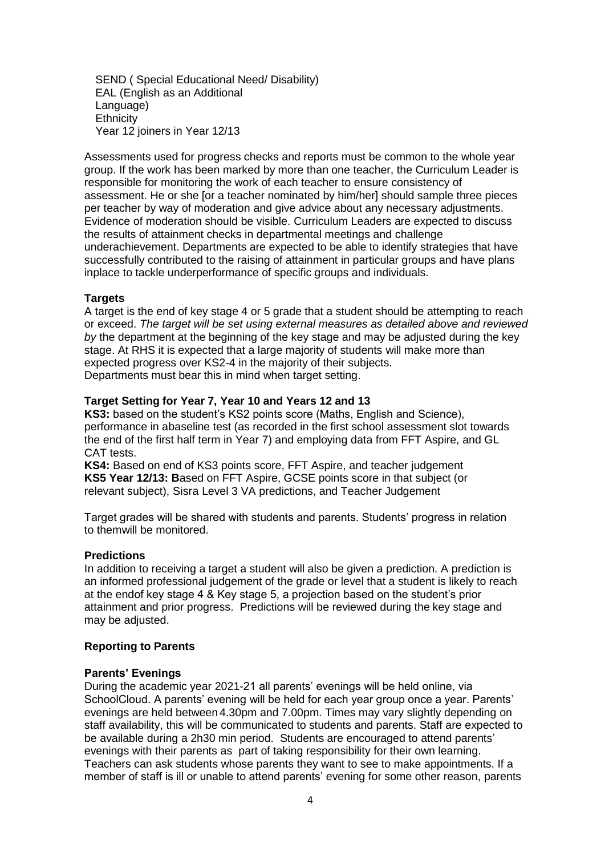SEND ( Special Educational Need/ Disability) EAL (English as an Additional Language) **Ethnicity** Year 12 joiners in Year 12/13

Assessments used for progress checks and reports must be common to the whole year group. If the work has been marked by more than one teacher, the Curriculum Leader is responsible for monitoring the work of each teacher to ensure consistency of assessment. He or she [or a teacher nominated by him/her] should sample three pieces per teacher by way of moderation and give advice about any necessary adjustments. Evidence of moderation should be visible. Curriculum Leaders are expected to discuss the results of attainment checks in departmental meetings and challenge underachievement. Departments are expected to be able to identify strategies that have successfully contributed to the raising of attainment in particular groups and have plans inplace to tackle underperformance of specific groups and individuals.

## **Targets**

A target is the end of key stage 4 or 5 grade that a student should be attempting to reach or exceed. *The target will be set using external measures as detailed above and reviewed by* the department at the beginning of the key stage and may be adjusted during the key stage. At RHS it is expected that a large majority of students will make more than expected progress over KS2-4 in the majority of their subjects. Departments must bear this in mind when target setting.

### **Target Setting for Year 7, Year 10 and Years 12 and 13**

**KS3:** based on the student's KS2 points score (Maths, English and Science), performance in abaseline test (as recorded in the first school assessment slot towards the end of the first half term in Year 7) and employing data from FFT Aspire, and GL CAT tests.

**KS4:** Based on end of KS3 points score, FFT Aspire, and teacher judgement **KS5 Year 12/13: B**ased on FFT Aspire, GCSE points score in that subject (or relevant subject), Sisra Level 3 VA predictions, and Teacher Judgement

Target grades will be shared with students and parents. Students' progress in relation to themwill be monitored.

#### **Predictions**

In addition to receiving a target a student will also be given a prediction. A prediction is an informed professional judgement of the grade or level that a student is likely to reach at the endof key stage 4 & Key stage 5, a projection based on the student's prior attainment and prior progress. Predictions will be reviewed during the key stage and may be adjusted.

#### **Reporting to Parents**

#### **Parents' Evenings**

During the academic year 2021-21 all parents' evenings will be held online, via SchoolCloud. A parents' evening will be held for each year group once a year. Parents' evenings are held between 4.30pm and 7.00pm. Times may vary slightly depending on staff availability, this will be communicated to students and parents. Staff are expected to be available during a 2h30 min period. Students are encouraged to attend parents' evenings with their parents as part of taking responsibility for their own learning. Teachers can ask students whose parents they want to see to make appointments. If a member of staff is ill or unable to attend parents' evening for some other reason, parents